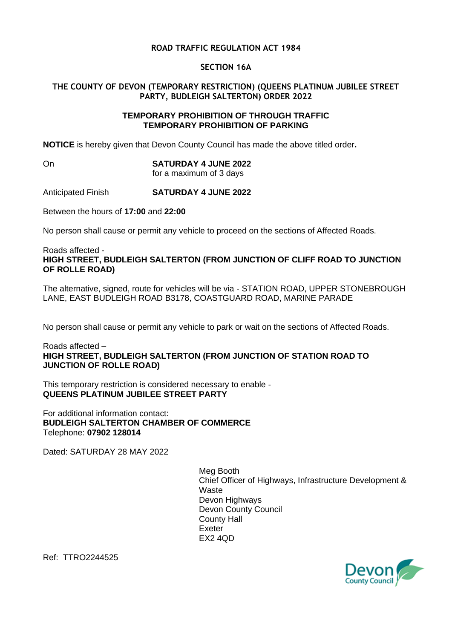## **ROAD TRAFFIC REGULATION ACT 1984**

#### **SECTION 16A**

## **THE COUNTY OF DEVON (TEMPORARY RESTRICTION) (QUEENS PLATINUM JUBILEE STREET PARTY, BUDLEIGH SALTERTON) ORDER 2022**

#### **TEMPORARY PROHIBITION OF THROUGH TRAFFIC TEMPORARY PROHIBITION OF PARKING**

**NOTICE** is hereby given that Devon County Council has made the above titled order**.**

# On **SATURDAY 4 JUNE 2022**

for a maximum of 3 days

### Anticipated Finish **SATURDAY 4 JUNE 2022**

Between the hours of **17:00** and **22:00**

No person shall cause or permit any vehicle to proceed on the sections of Affected Roads.

Roads affected - **HIGH STREET, BUDLEIGH SALTERTON (FROM JUNCTION OF CLIFF ROAD TO JUNCTION OF ROLLE ROAD)**

The alternative, signed, route for vehicles will be via - STATION ROAD, UPPER STONEBROUGH LANE, EAST BUDLEIGH ROAD B3178, COASTGUARD ROAD, MARINE PARADE

No person shall cause or permit any vehicle to park or wait on the sections of Affected Roads.

Roads affected – **HIGH STREET, BUDLEIGH SALTERTON (FROM JUNCTION OF STATION ROAD TO JUNCTION OF ROLLE ROAD)**

This temporary restriction is considered necessary to enable - **QUEENS PLATINUM JUBILEE STREET PARTY**

For additional information contact: **BUDLEIGH SALTERTON CHAMBER OF COMMERCE** Telephone: **07902 128014**

Dated: SATURDAY 28 MAY 2022

Meg Booth Chief Officer of Highways, Infrastructure Development & Waste Devon Highways Devon County Council County Hall Exeter EX2 4QD

Ref: TTRO2244525